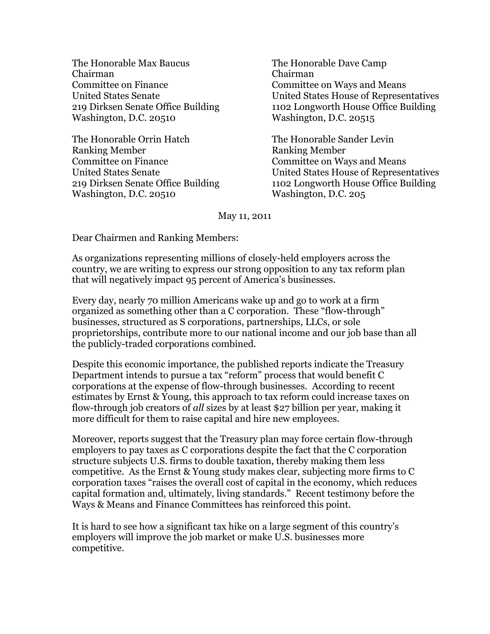The Honorable Max Baucus Chairman Committee on Finance United States Senate 219 Dirksen Senate Office Building Washington, D.C. 20510

The Honorable Orrin Hatch Ranking Member Committee on Finance United States Senate 219 Dirksen Senate Office Building Washington, D.C. 20510

The Honorable Dave Camp Chairman Committee on Ways and Means United States House of Representatives 1102 Longworth House Office Building Washington, D.C. 20515

The Honorable Sander Levin Ranking Member Committee on Ways and Means United States House of Representatives 1102 Longworth House Office Building Washington, D.C. 205

## May 11, 2011

Dear Chairmen and Ranking Members:

As organizations representing millions of closely-held employers across the country, we are writing to express our strong opposition to any tax reform plan that will negatively impact 95 percent of America's businesses.

Every day, nearly 70 million Americans wake up and go to work at a firm organized as something other than a C corporation. These "flow-through" businesses, structured as S corporations, partnerships, LLCs, or sole proprietorships, contribute more to our national income and our job base than all the publicly-traded corporations combined.

Despite this economic importance, the published reports indicate the Treasury Department intends to pursue a tax "reform" process that would benefit C corporations at the expense of flow-through businesses. According to recent estimates by Ernst & Young, this approach to tax reform could increase taxes on flow-through job creators of *all* sizes by at least \$27 billion per year, making it more difficult for them to raise capital and hire new employees.

Moreover, reports suggest that the Treasury plan may force certain flow-through employers to pay taxes as C corporations despite the fact that the C corporation structure subjects U.S. firms to double taxation, thereby making them less competitive. As the Ernst & Young study makes clear, subjecting more firms to C corporation taxes "raises the overall cost of capital in the economy, which reduces capital formation and, ultimately, living standards." Recent testimony before the Ways & Means and Finance Committees has reinforced this point.

It is hard to see how a significant tax hike on a large segment of this country's employers will improve the job market or make U.S. businesses more competitive.